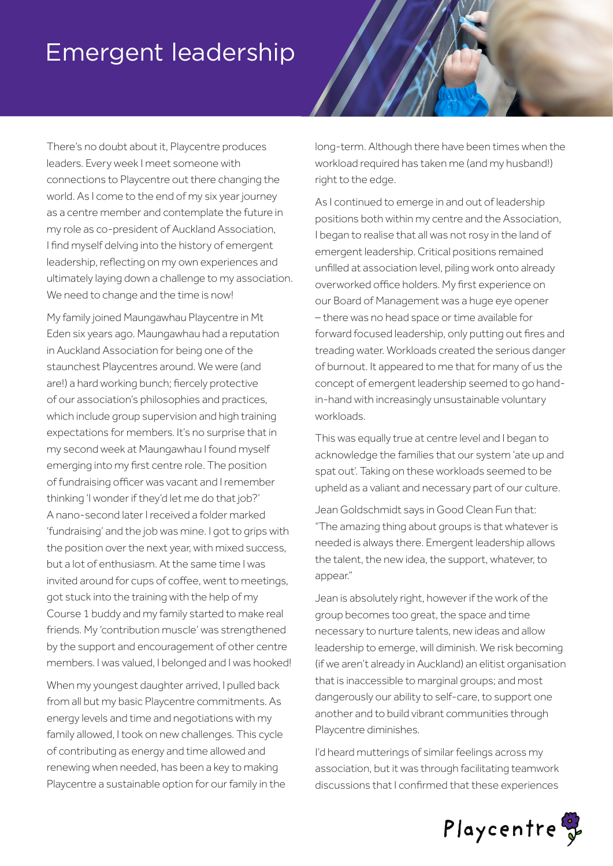# Emergent leadership

There's no doubt about it, Playcentre produces leaders. Every week I meet someone with connections to Playcentre out there changing the world. As I come to the end of my six year journey as a centre member and contemplate the future in my role as co-president of Auckland Association, I find myself delving into the history of emergent leadership, reflecting on my own experiences and ultimately laying down a challenge to my association. We need to change and the time is now!

My family joined Maungawhau Playcentre in Mt Eden six years ago. Maungawhau had a reputation in Auckland Association for being one of the staunchest Playcentres around. We were (and are!) a hard working bunch; fiercely protective of our association's philosophies and practices, which include group supervision and high training expectations for members. It's no surprise that in my second week at Maungawhau I found myself emerging into my first centre role. The position of fundraising officer was vacant and I remember thinking 'I wonder if they'd let me do that job?' A nano-second later I received a folder marked 'fundraising' and the job was mine. I got to grips with the position over the next year, with mixed success, but a lot of enthusiasm. At the same time I was invited around for cups of coffee, went to meetings, got stuck into the training with the help of my Course 1 buddy and my family started to make real friends. My 'contribution muscle' was strengthened by the support and encouragement of other centre members. I was valued, I belonged and I was hooked!

When my youngest daughter arrived, I pulled back from all but my basic Playcentre commitments. As energy levels and time and negotiations with my family allowed, I took on new challenges. This cycle of contributing as energy and time allowed and renewing when needed, has been a key to making Playcentre a sustainable option for our family in the long-term. Although there have been times when the workload required has taken me (and my husband!) right to the edge.

As I continued to emerge in and out of leadership positions both within my centre and the Association, I began to realise that all was not rosy in the land of emergent leadership. Critical positions remained unfilled at association level, piling work onto already overworked office holders. My first experience on our Board of Management was a huge eye opener – there was no head space or time available for forward focused leadership, only putting out fires and treading water. Workloads created the serious danger of burnout. It appeared to me that for many of us the concept of emergent leadership seemed to go handin-hand with increasingly unsustainable voluntary workloads.

This was equally true at centre level and I began to acknowledge the families that our system 'ate up and spat out'. Taking on these workloads seemed to be upheld as a valiant and necessary part of our culture.

Jean Goldschmidt says in Good Clean Fun that: "The amazing thing about groups is that whatever is needed is always there. Emergent leadership allows the talent, the new idea, the support, whatever, to appear."

Jean is absolutely right, however if the work of the group becomes too great, the space and time necessary to nurture talents, new ideas and allow leadership to emerge, will diminish. We risk becoming (if we aren't already in Auckland) an elitist organisation that is inaccessible to marginal groups; and most dangerously our ability to self-care, to support one another and to build vibrant communities through Playcentre diminishes.

I'd heard mutterings of similar feelings across my association, but it was through facilitating teamwork discussions that I confirmed that these experiences

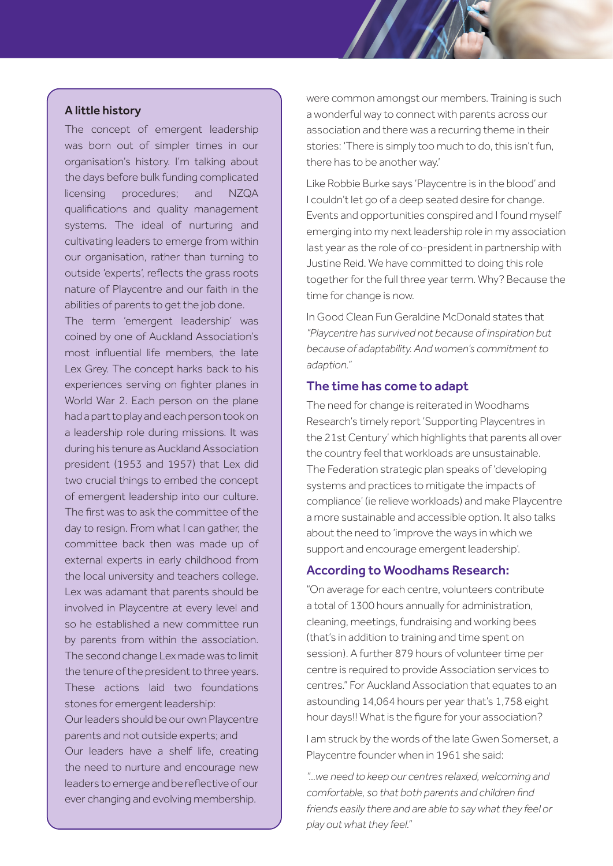### A little history

The concept of emergent leadership was born out of simpler times in our organisation's history. I'm talking about the days before bulk funding complicated licensing procedures; and NZQA qualifications and quality management systems. The ideal of nurturing and cultivating leaders to emerge from within our organisation, rather than turning to outside 'experts', reflects the grass roots nature of Playcentre and our faith in the abilities of parents to get the job done.

The term 'emergent leadership' was coined by one of Auckland Association's most influential life members, the late Lex Grey. The concept harks back to his experiences serving on fighter planes in World War 2. Each person on the plane had a part to play and each person took on a leadership role during missions. It was during his tenure as Auckland Association president (1953 and 1957) that Lex did two crucial things to embed the concept of emergent leadership into our culture. The first was to ask the committee of the day to resign. From what I can gather, the committee back then was made up of external experts in early childhood from the local university and teachers college. Lex was adamant that parents should be involved in Playcentre at every level and so he established a new committee run by parents from within the association. The second change Lex made was to limit the tenure of the president to three years. These actions laid two foundations stones for emergent leadership:

Our leaders should be our own Playcentre parents and not outside experts; and Our leaders have a shelf life, creating the need to nurture and encourage new leaders to emerge and be reflective of our ever changing and evolving membership.

were common amongst our members. Training is such a wonderful way to connect with parents across our association and there was a recurring theme in their stories: 'There is simply too much to do, this isn't fun, there has to be another way.'

Like Robbie Burke says 'Playcentre is in the blood' and I couldn't let go of a deep seated desire for change. Events and opportunities conspired and I found myself emerging into my next leadership role in my association last year as the role of co-president in partnership with Justine Reid. We have committed to doing this role together for the full three year term. Why? Because the time for change is now.

In Good Clean Fun Geraldine McDonald states that *"Playcentre has survived not because of inspiration but because of adaptability. And women's commitment to adaption."*

#### The time has come to adapt

The need for change is reiterated in Woodhams Research's timely report 'Supporting Playcentres in the 21st Century' which highlights that parents all over the country feel that workloads are unsustainable. The Federation strategic plan speaks of 'developing systems and practices to mitigate the impacts of compliance' (ie relieve workloads) and make Playcentre a more sustainable and accessible option. It also talks about the need to 'improve the ways in which we support and encourage emergent leadership'.

## According to Woodhams Research:

"On average for each centre, volunteers contribute a total of 1300 hours annually for administration, cleaning, meetings, fundraising and working bees (that's in addition to training and time spent on session). A further 879 hours of volunteer time per centre is required to provide Association services to centres." For Auckland Association that equates to an astounding 14,064 hours per year that's 1,758 eight hour days!! What is the figure for your association?

I am struck by the words of the late Gwen Somerset, a Playcentre founder when in 1961 she said:

*"…we need to keep our centres relaxed, welcoming and comfortable, so that both parents and children find friends easily there and are able to say what they feel or play out what they feel."*